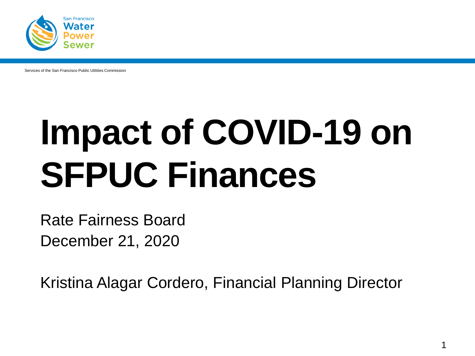

Services of the San Francisco Public Utilities Commission

# **Impact of COVID-19 on SFPUC Finances**

Rate Fairness Board December 21, 2020

Kristina Alagar Cordero, Financial Planning Director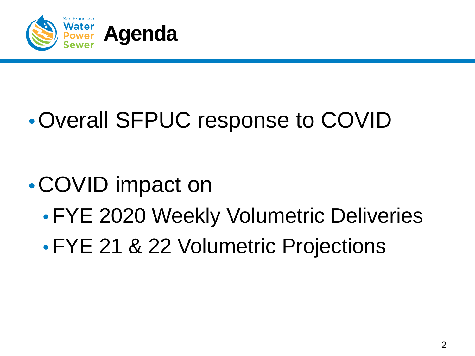

### •Overall SFPUC response to COVID

### •COVID impact on

- •FYE 2020 Weekly Volumetric Deliveries
- •FYE 21 & 22 Volumetric Projections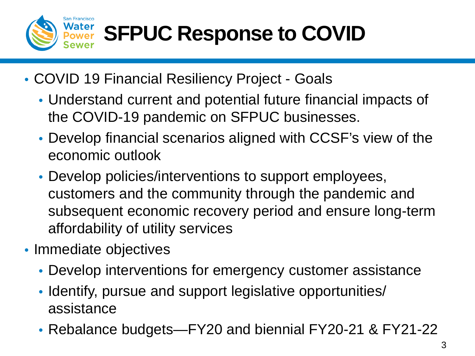

## **SFPUC Response to COVID**

- COVID 19 Financial Resiliency Project Goals
	- Understand current and potential future financial impacts of the COVID-19 pandemic on SFPUC businesses.
	- Develop financial scenarios aligned with CCSF's view of the economic outlook
	- Develop policies/interventions to support employees, customers and the community through the pandemic and subsequent economic recovery period and ensure long-term affordability of utility services
- Immediate objectives
	- Develop interventions for emergency customer assistance
	- Identify, pursue and support legislative opportunities/ assistance
	- Rebalance budgets—FY20 and biennial FY20-21 & FY21-22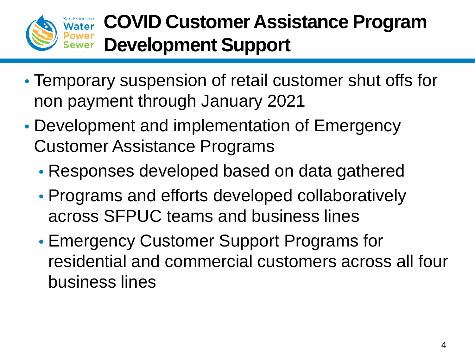

#### **COVID Customer Assistance Program Development Support**

- Temporary suspension of retail customer shut offs for non payment through January 2021
- Development and implementation of Emergency Customer Assistance Programs
	- Responses developed based on data gathered
	- Programs and efforts developed collaboratively across SFPUC teams and business lines
	- Emergency Customer Support Programs for residential and commercial customers across all four business lines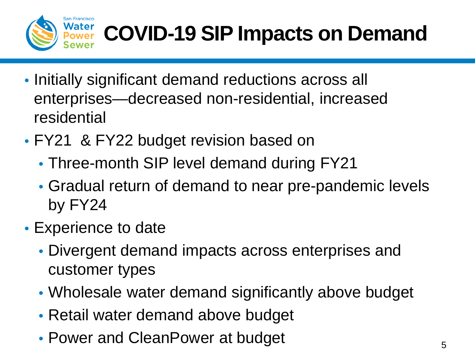

## **COVID-19 SIP Impacts on Demand**

- Initially significant demand reductions across all enterprises—decreased non-residential, increased residential
- FY21 & FY22 budget revision based on
	- Three-month SIP level demand during FY21
	- Gradual return of demand to near pre-pandemic levels by FY24
- Experience to date
	- Divergent demand impacts across enterprises and customer types
	- Wholesale water demand significantly above budget
	- Retail water demand above budget
	- Power and CleanPower at budget  $5<sub>5</sub>$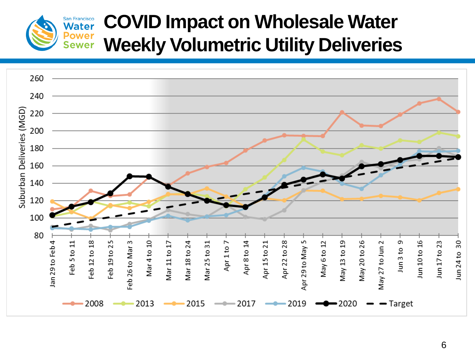

#### **COVID Impact on Wholesale Water Weekly Volumetric Utility Deliveries**

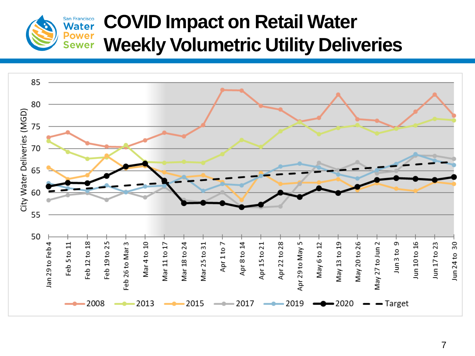

#### **COVID Impact on Retail Water Weekly Volumetric Utility Deliveries**

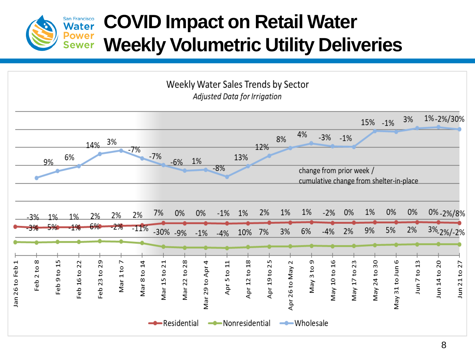

#### **COVID Impact on Retail Water Weekly Volumetric Utility Deliveries**

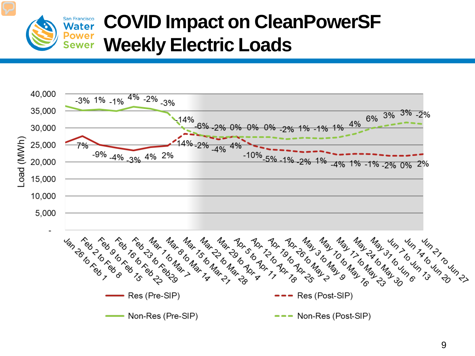

#### **COVID Impact on CleanPowerSF Weekly Electric Loads**

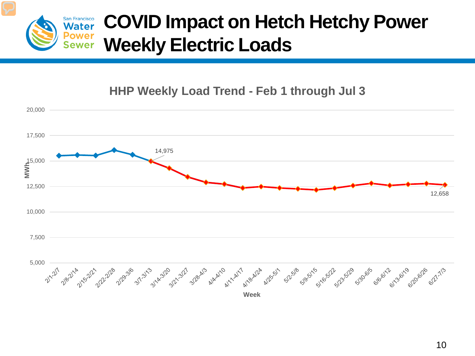

#### **HHP Weekly Load Trend - Feb 1 through Jul 3**

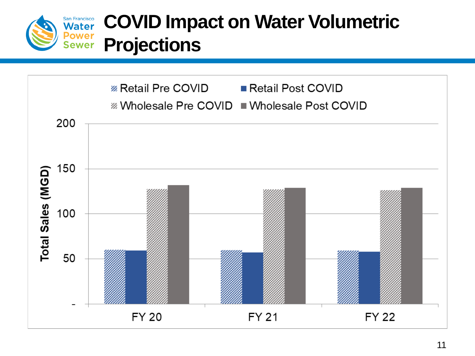

### **COVID Impact on Water Volumetric Power** Projections

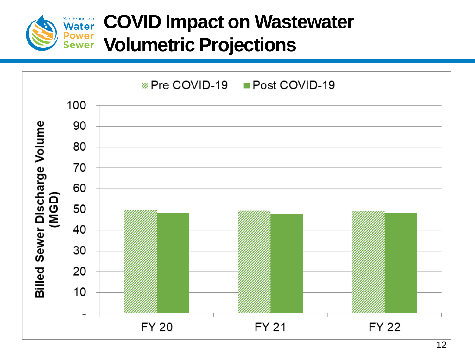

### **COVID Impact on Wastewater Power** Volumetric Projections

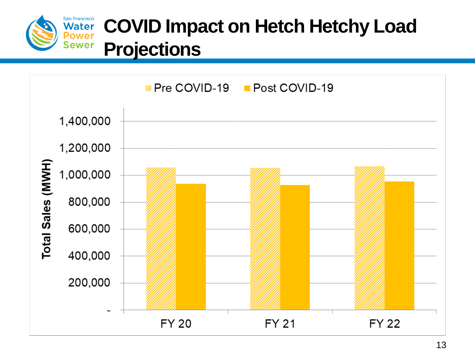

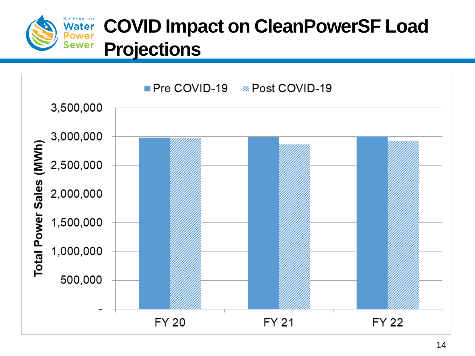